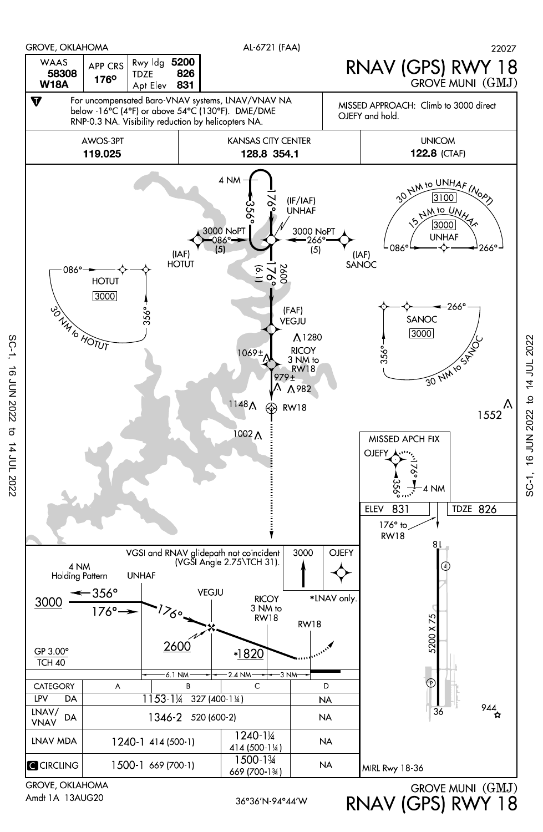

Amdt 1A 13AUG20

36°36'N-94°44'W RNAV (GPS) RWY 18